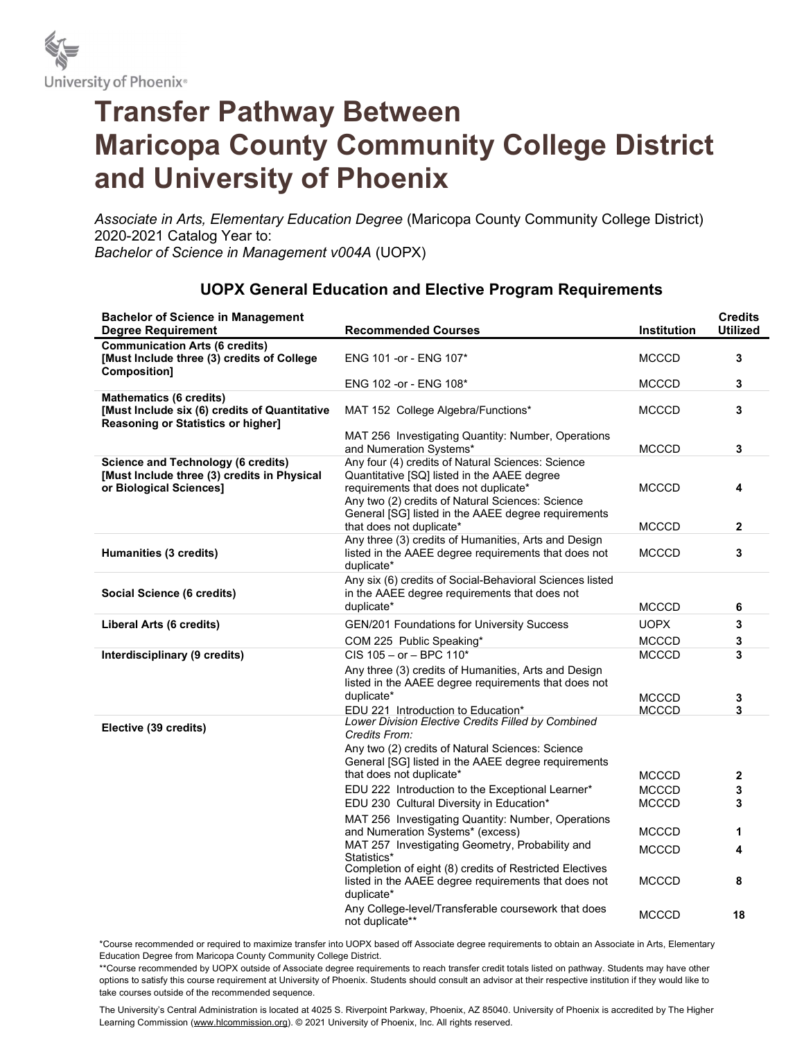

## Transfer Pathway Between Maricopa County Community College District and University of Phoenix

Associate in Arts, Elementary Education Degree (Maricopa County Community College District) 2020-2021 Catalog Year to: Bachelor of Science in Management v004A (UOPX)

| <b>Bachelor of Science in Management</b><br><b>Degree Requirement</b>                                                 | <b>Recommended Courses</b>                                                                                                                                                                                                                           | Institution  | <b>Credits</b><br><b>Utilized</b> |
|-----------------------------------------------------------------------------------------------------------------------|------------------------------------------------------------------------------------------------------------------------------------------------------------------------------------------------------------------------------------------------------|--------------|-----------------------------------|
| <b>Communication Arts (6 credits)</b><br>[Must Include three (3) credits of College<br><b>Composition]</b>            | ENG 101 - or - ENG 107*                                                                                                                                                                                                                              | <b>MCCCD</b> | 3                                 |
|                                                                                                                       | ENG 102 -or - ENG 108*                                                                                                                                                                                                                               | <b>MCCCD</b> | 3                                 |
| <b>Mathematics (6 credits)</b><br>[Must Include six (6) credits of Quantitative<br>Reasoning or Statistics or higher] | MAT 152 College Algebra/Functions*                                                                                                                                                                                                                   | <b>MCCCD</b> | 3                                 |
|                                                                                                                       | MAT 256 Investigating Quantity: Number, Operations<br>and Numeration Systems*                                                                                                                                                                        | <b>MCCCD</b> | 3                                 |
| <b>Science and Technology (6 credits)</b><br>[Must Include three (3) credits in Physical<br>or Biological Sciences]   | Any four (4) credits of Natural Sciences: Science<br>Quantitative [SQ] listed in the AAEE degree<br>requirements that does not duplicate*<br>Any two (2) credits of Natural Sciences: Science<br>General [SG] listed in the AAEE degree requirements | <b>MCCCD</b> | 4                                 |
|                                                                                                                       | that does not duplicate*                                                                                                                                                                                                                             | <b>MCCCD</b> | $\mathbf{2}$                      |
| Humanities (3 credits)                                                                                                | Any three (3) credits of Humanities, Arts and Design<br>listed in the AAEE degree requirements that does not<br>duplicate*                                                                                                                           | <b>MCCCD</b> | 3                                 |
| Social Science (6 credits)                                                                                            | Any six (6) credits of Social-Behavioral Sciences listed<br>in the AAEE degree requirements that does not<br>duplicate*                                                                                                                              | <b>MCCCD</b> | 6                                 |
| Liberal Arts (6 credits)                                                                                              | <b>GEN/201 Foundations for University Success</b>                                                                                                                                                                                                    | <b>UOPX</b>  | 3                                 |
|                                                                                                                       | COM 225 Public Speaking*                                                                                                                                                                                                                             | <b>MCCCD</b> | 3                                 |
| Interdisciplinary (9 credits)                                                                                         | $CIS$ 105 – or – BPC 110*                                                                                                                                                                                                                            | <b>MCCCD</b> | 3                                 |
|                                                                                                                       | Any three (3) credits of Humanities, Arts and Design<br>listed in the AAEE degree requirements that does not<br>duplicate*                                                                                                                           | <b>MCCCD</b> | 3                                 |
| Elective (39 credits)                                                                                                 | EDU 221 Introduction to Education*<br>Lower Division Elective Credits Filled by Combined<br>Credits From:                                                                                                                                            | <b>MCCCD</b> | 3                                 |
|                                                                                                                       | Any two (2) credits of Natural Sciences: Science<br>General [SG] listed in the AAEE degree requirements<br>that does not duplicate*                                                                                                                  | <b>MCCCD</b> | 2                                 |
|                                                                                                                       | EDU 222 Introduction to the Exceptional Learner*                                                                                                                                                                                                     | <b>MCCCD</b> | 3                                 |
|                                                                                                                       | EDU 230 Cultural Diversity in Education*                                                                                                                                                                                                             | <b>MCCCD</b> | 3                                 |
|                                                                                                                       | MAT 256 Investigating Quantity: Number, Operations<br>and Numeration Systems* (excess)                                                                                                                                                               | <b>MCCCD</b> | 1                                 |
|                                                                                                                       | MAT 257 Investigating Geometry, Probability and<br>Statistics*                                                                                                                                                                                       | <b>MCCCD</b> | 4                                 |
|                                                                                                                       | Completion of eight (8) credits of Restricted Electives<br>listed in the AAEE degree requirements that does not<br>duplicate*                                                                                                                        | <b>MCCCD</b> | 8                                 |
|                                                                                                                       | Any College-level/Transferable coursework that does<br>not duplicate**                                                                                                                                                                               | <b>MCCCD</b> | 18                                |

## UOPX General Education and Elective Program Requirements

\*Course recommended or required to maximize transfer into UOPX based off Associate degree requirements to obtain an Associate in Arts, Elementary Education Degree from Maricopa County Community College District.

\*\*Course recommended by UOPX outside of Associate degree requirements to reach transfer credit totals listed on pathway. Students may have other options to satisfy this course requirement at University of Phoenix. Students should consult an advisor at their respective institution if they would like to take courses outside of the recommended sequence.

The University's Central Administration is located at 4025 S. Riverpoint Parkway, Phoenix, AZ 85040. University of Phoenix is accredited by The Higher Learning Commission (www.hlcommission.org). © 2021 University of Phoenix, Inc. All rights reserved.